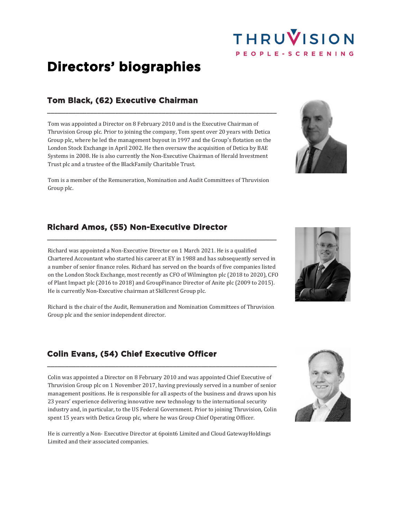# THRUVISION

# **Directors' biographies**

### **Tom Black, (62) Executive Chairman**

Tom was appointed a Director on 8 February 2010 and is the Executive Chairman of Thruvision Group plc. Prior to joining the company, Tom spent over 20 years with Detica Group plc, where he led the management buyout in 1997 and the Group's flotation on the London Stock Exchange in April 2002. He then oversaw the acquisition of Detica by BAE Systems in 2008. He is also currently the Non-Executive Chairman of Herald Investment Trust plc and a trustee of the BlackFamily Charitable Trust.

\_\_\_\_\_\_\_\_\_\_\_\_\_\_\_\_\_\_\_\_\_\_\_\_\_\_\_\_\_\_\_\_\_\_\_\_\_\_\_\_\_\_\_\_\_\_\_\_\_\_\_\_\_\_\_\_\_\_\_\_\_\_\_\_

Tom is a member of the Remuneration, Nomination and Audit Committees of Thruvision Group plc.

### **Richard Amos, (55) Non-Executive Director**

Richard was appointed a Non-Executive Director on 1 March 2021. He is a qualified Chartered Accountant who started his career at EY in 1988 and has subsequently served in a number of senior finance roles. Richard has served on the boards of five companies listed on the London Stock Exchange, most recently as CFO of Wilmington plc (2018 to 2020), CFO of Plant Impact plc (2016 to 2018) and GroupFinance Director of Anite plc (2009 to 2015). He is currently Non-Executive chairman at Skillcrest Group plc.

\_\_\_\_\_\_\_\_\_\_\_\_\_\_\_\_\_\_\_\_\_\_\_\_\_\_\_\_\_\_\_\_\_\_\_\_\_\_\_\_\_\_\_\_\_\_\_\_\_\_\_\_\_\_\_\_\_\_\_\_\_\_\_\_

Richard is the chair of the Audit, Remuneration and Nomination Committees of Thruvision Group plc and the senior independent director.

## **Colin Evans, (54) Chief Executive Officer**

Colin was appointed a Director on 8 February 2010 and was appointed Chief Executive of Thruvision Group plc on 1 November 2017, having previously served in a number of senior management positions. He is responsible for all aspects of the business and draws upon his 23 years' experience delivering innovative new technology to the international security industry and, in particular, to the US Federal Government. Prior to joining Thruvision, Colin spent 15 years with Detica Group plc, where he was Group Chief Operating Officer.

\_\_\_\_\_\_\_\_\_\_\_\_\_\_\_\_\_\_\_\_\_\_\_\_\_\_\_\_\_\_\_\_\_\_\_\_\_\_\_\_\_\_\_\_\_\_\_\_\_\_\_\_\_\_\_\_\_\_\_\_\_\_\_\_

He is currently a Non- Executive Director at 6point6 Limited and Cloud GatewayHoldings Limited and their associated companies.







PEOPLE - SCREENING